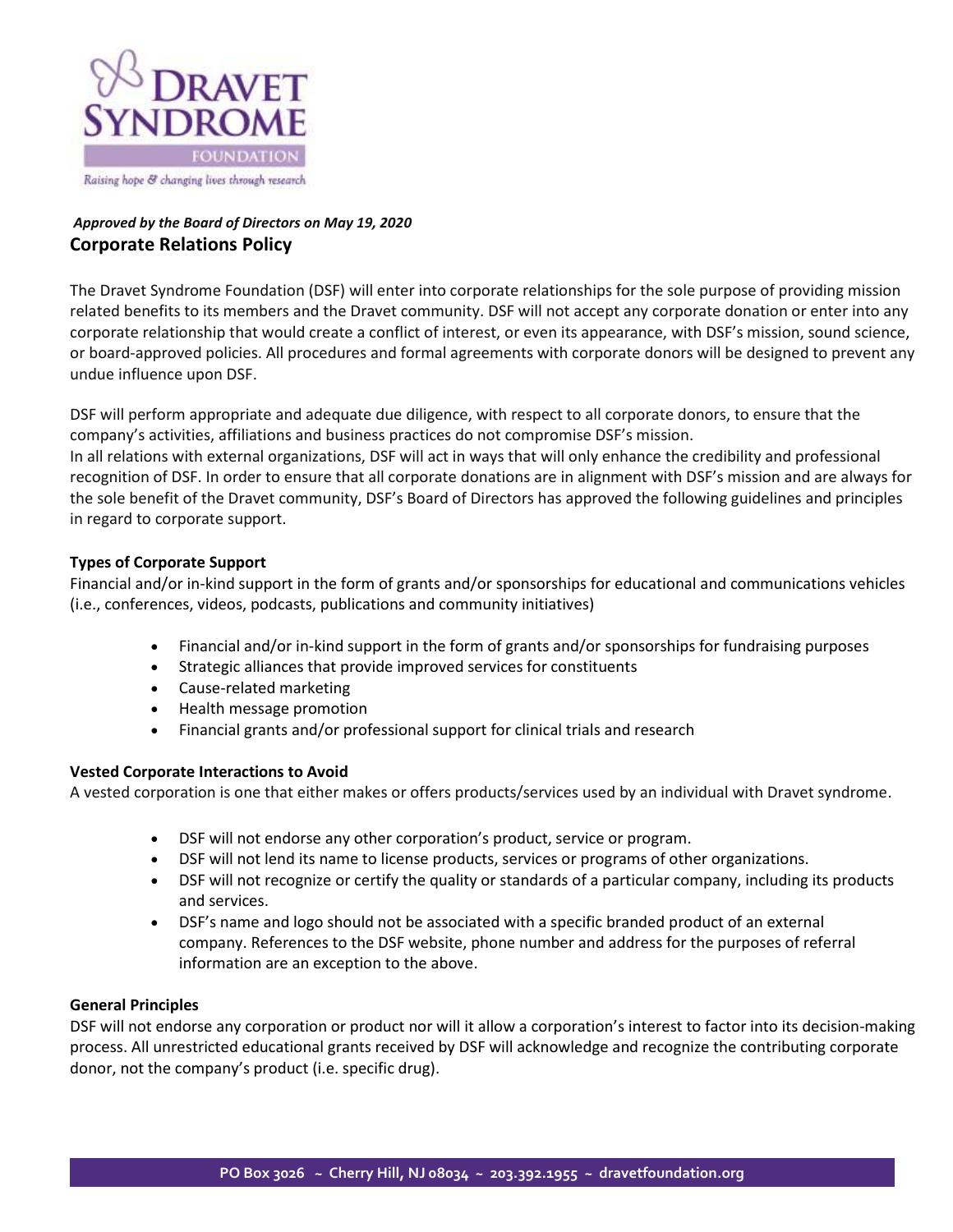

## *Approved by the Board of Directors on May 19, 2020* **Corporate Relations Policy**

The Dravet Syndrome Foundation (DSF) will enter into corporate relationships for the sole purpose of providing mission related benefits to its members and the Dravet community. DSF will not accept any corporate donation or enter into any corporate relationship that would create a conflict of interest, or even its appearance, with DSF's mission, sound science, or board-approved policies. All procedures and formal agreements with corporate donors will be designed to prevent any undue influence upon DSF.

DSF will perform appropriate and adequate due diligence, with respect to all corporate donors, to ensure that the company's activities, affiliations and business practices do not compromise DSF's mission.

In all relations with external organizations, DSF will act in ways that will only enhance the credibility and professional recognition of DSF. In order to ensure that all corporate donations are in alignment with DSF's mission and are always for the sole benefit of the Dravet community, DSF's Board of Directors has approved the following guidelines and principles in regard to corporate support.

### **Types of Corporate Support**

Financial and/or in-kind support in the form of grants and/or sponsorships for educational and communications vehicles (i.e., conferences, videos, podcasts, publications and community initiatives)

- Financial and/or in-kind support in the form of grants and/or sponsorships for fundraising purposes
- Strategic alliances that provide improved services for constituents
- Cause-related marketing
- Health message promotion
- Financial grants and/or professional support for clinical trials and research

#### **Vested Corporate Interactions to Avoid**

A vested corporation is one that either makes or offers products/services used by an individual with Dravet syndrome.

- DSF will not endorse any other corporation's product, service or program.
- DSF will not lend its name to license products, services or programs of other organizations.
- DSF will not recognize or certify the quality or standards of a particular company, including its products and services.
- DSF's name and logo should not be associated with a specific branded product of an external company. References to the DSF website, phone number and address for the purposes of referral information are an exception to the above.

#### **General Principles**

DSF will not endorse any corporation or product nor will it allow a corporation's interest to factor into its decision-making process. All unrestricted educational grants received by DSF will acknowledge and recognize the contributing corporate donor, not the company's product (i.e. specific drug).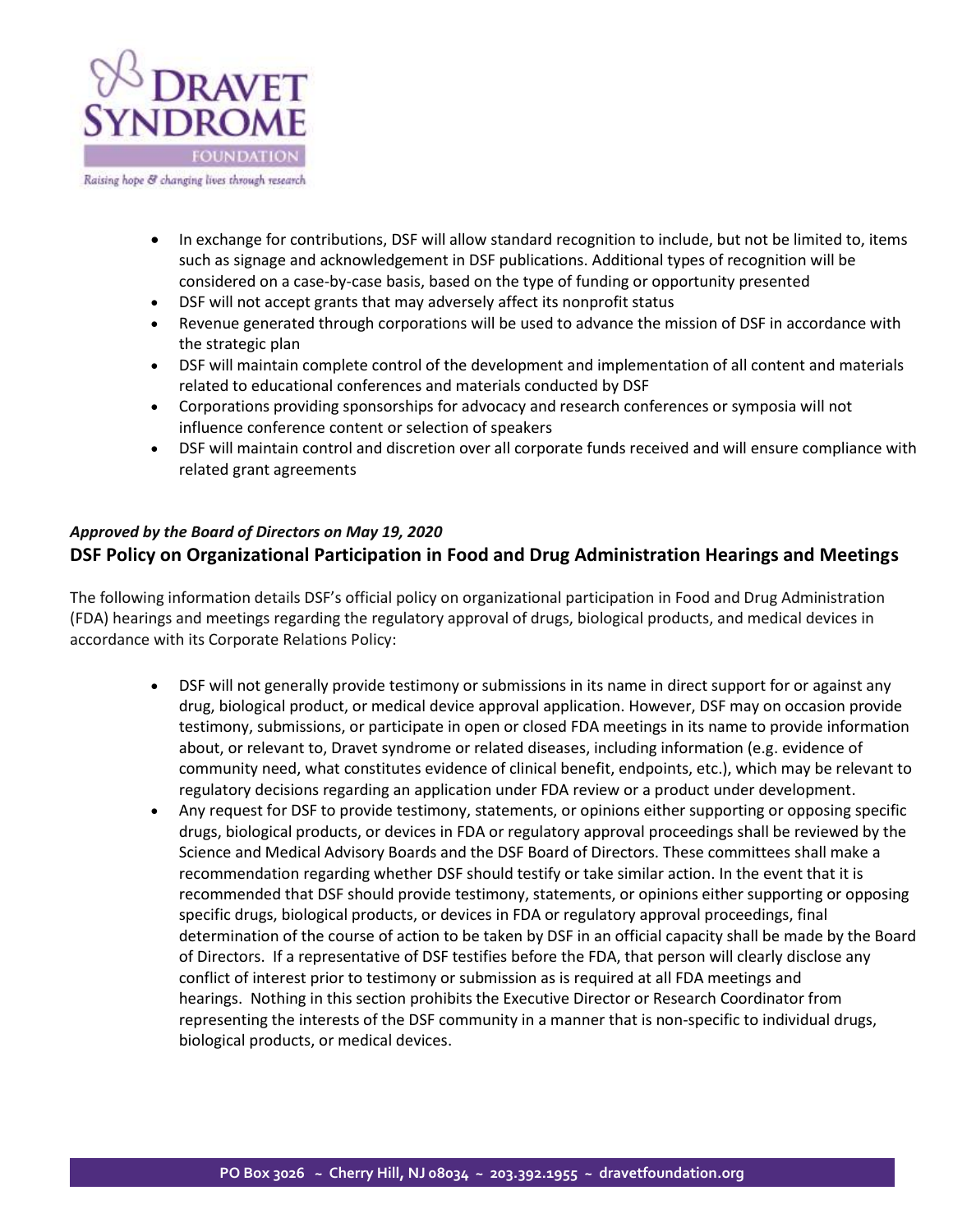

Raising hope & changing lives through research

- In exchange for contributions, DSF will allow standard recognition to include, but not be limited to, items such as signage and acknowledgement in DSF publications. Additional types of recognition will be considered on a case-by-case basis, based on the type of funding or opportunity presented
- DSF will not accept grants that may adversely affect its nonprofit status
- Revenue generated through corporations will be used to advance the mission of DSF in accordance with the strategic plan
- DSF will maintain complete control of the development and implementation of all content and materials related to educational conferences and materials conducted by DSF
- Corporations providing sponsorships for advocacy and research conferences or symposia will not influence conference content or selection of speakers
- DSF will maintain control and discretion over all corporate funds received and will ensure compliance with related grant agreements

# *Approved by the Board of Directors on May 19, 2020* **DSF Policy on Organizational Participation in Food and Drug Administration Hearings and Meetings**

The following information details DSF's official policy on organizational participation in Food and Drug Administration (FDA) hearings and meetings regarding the regulatory approval of drugs, biological products, and medical devices in accordance with its Corporate Relations Policy:

- DSF will not generally provide testimony or submissions in its name in direct support for or against any drug, biological product, or medical device approval application. However, DSF may on occasion provide testimony, submissions, or participate in open or closed FDA meetings in its name to provide information about, or relevant to, Dravet syndrome or related diseases, including information (e.g. evidence of community need, what constitutes evidence of clinical benefit, endpoints, etc.), which may be relevant to regulatory decisions regarding an application under FDA review or a product under development.
- Any request for DSF to provide testimony, statements, or opinions either supporting or opposing specific drugs, biological products, or devices in FDA or regulatory approval proceedings shall be reviewed by the Science and Medical Advisory Boards and the DSF Board of Directors. These committees shall make a recommendation regarding whether DSF should testify or take similar action. In the event that it is recommended that DSF should provide testimony, statements, or opinions either supporting or opposing specific drugs, biological products, or devices in FDA or regulatory approval proceedings, final determination of the course of action to be taken by DSF in an official capacity shall be made by the Board of Directors. If a representative of DSF testifies before the FDA, that person will clearly disclose any conflict of interest prior to testimony or submission as is required at all FDA meetings and hearings. Nothing in this section prohibits the Executive Director or Research Coordinator from representing the interests of the DSF community in a manner that is non-specific to individual drugs, biological products, or medical devices.